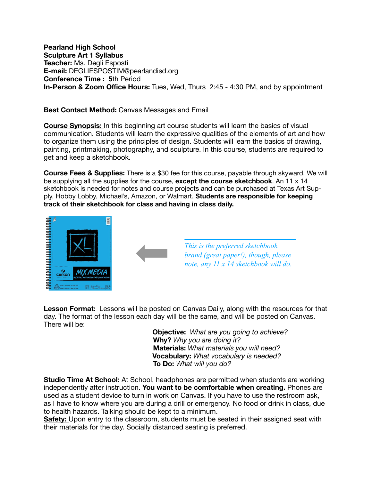**Pearland High School Sculpture Art 1 Syllabus Teacher:** Ms. Degli Esposti **E-mail:** DEGLIESPOSTIM@pearlandisd.org **Conference Time : 5**th Period **In-Person & Zoom Office Hours:** Tues, Wed, Thurs 2:45 - 4:30 PM, and by appointment

## **Best Contact Method:** Canvas Messages and Email

**Course Synopsis:** In this beginning art course students will learn the basics of visual communication. Students will learn the expressive qualities of the elements of art and how to organize them using the principles of design. Students will learn the basics of drawing, painting, printmaking, photography, and sculpture. In this course, students are required to get and keep a sketchbook.

**Course Fees & Supplies:** There is a \$30 fee for this course, payable through skyward. We will be supplying all the supplies for the course, **except the course sketchbook**. An 11 x 14 sketchbook is needed for notes and course projects and can be purchased at Texas Art Supply, Hobby Lobby, Michael's, Amazon, or Walmart. **Students are responsible for keeping track of their sketchbook for class and having in class daily.**





*This is the preferred sketchbook brand (great paper!), though, please note, any 11 x 14 sketchbook will do.* 

**Lesson Format:** Lessons will be posted on Canvas Daily, along with the resources for that day. The format of the lesson each day will be the same, and will be posted on Canvas. There will be:

 **Objective:** *What are you going to achieve?*  **Why?** *Why you are doing it?*  **Materials:** *What materials you will need?* **Vocabulary:** *What vocabulary is needed?*  **To Do:** *What will you do?* 

**Studio Time At School:** At School, headphones are permitted when students are working independently after instruction. **You want to be comfortable when creating.** Phones are used as a student device to turn in work on Canvas. If you have to use the restroom ask, as I have to know where you are during a drill or emergency. No food or drink in class, due to health hazards. Talking should be kept to a minimum.

**Safety:** Upon entry to the classroom, students must be seated in their assigned seat with their materials for the day. Socially distanced seating is preferred.